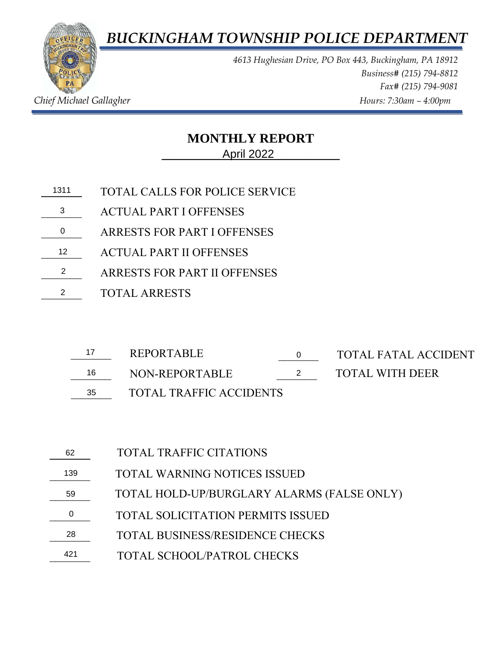*BUCKINGHAM TOWNSHIP POLICE DEPARTMENT*



*4613 Hughesian Drive, PO Box 443, Buckingham, PA 18912 Business# (215) 794-8812 Fax# (215) 794-9081 Chief Michael Gallagher Allagher Chief Michael Gallagher Hours: 7:30am – 4:00pm* 

## **MONTHLY REPORT \_\_\_\_\_\_\_\_\_\_\_\_\_\_\_\_\_\_\_\_\_\_\_\_\_\_\_** April 2022

- **\_\_\_\_\_\_\_** TOTAL CALLS FOR POLICE SERVICE 13113
- \_\_\_\_\_\_\_ ACTUAL PART I OFFENSES
- \_\_\_\_\_\_\_ ARRESTS FOR PART I OFFENSES 0
- \_\_\_\_\_\_\_ ACTUAL PART II OFFENSES 122
- \_\_\_\_\_\_\_ ARRESTS FOR PART II OFFENSES
- \_\_\_\_\_\_\_ TOTAL ARRESTS 2

|    | REPORTABLE                     | TOTAL FATAL ACCIDENT   |
|----|--------------------------------|------------------------|
| 16 | NON-REPORTABLE                 | <b>TOTAL WITH DEER</b> |
| 35 | <b>TOTAL TRAFFIC ACCIDENTS</b> |                        |

- 16 NON-REPORTABLE
- 
- 
- \_\_\_\_\_\_\_ TOTAL WITH DEER
- TOTAL WARNING NOTICES ISSUED TOTAL HOLD-UP/BURGLARY ALARMS (FALSE ONLY) TOTAL SCHOOL/PATROL CHECKS TOTAL TRAFFIC CITATIONS **\_\_\_\_\_\_\_**   $\frac{62}{139}$  $\frac{59}{0}$ \_\_\_\_\_\_\_  $\frac{28}{}$ \_\_\_\_\_\_\_ 421TOTAL SOLICITATION PERMITS ISSUED TOTAL BUSINESS/RESIDENCE CHECKS